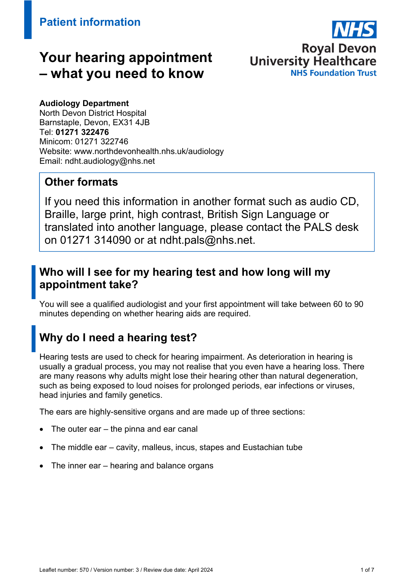# **Your hearing appointment – what you need to know**



#### **Audiology Department**

North Devon District Hospital Barnstaple, Devon, EX31 4JB Tel: **01271 322476**  Minicom: 01271 322746 Website: www.northdevonhealth.nhs.uk/audiology Email: ndht.audiology@nhs.net

### **Other formats**

If you need this information in another format such as audio CD, Braille, large print, high contrast, British Sign Language or translated into another language, please contact the PALS desk on 01271 314090 or at ndht.pals@nhs.net.

## **Who will I see for my hearing test and how long will my appointment take?**

You will see a qualified audiologist and your first appointment will take between 60 to 90 minutes depending on whether hearing aids are required.

# **Why do I need a hearing test?**

Hearing tests are used to check for hearing impairment. As deterioration in hearing is usually a gradual process, you may not realise that you even have a hearing loss. There are many reasons why adults might lose their hearing other than natural degeneration, such as being exposed to loud noises for prolonged periods, ear infections or viruses, head injuries and family genetics.

The ears are highly-sensitive organs and are made up of three sections:

- The outer ear the pinna and ear canal
- The middle ear cavity, malleus, incus, stapes and Eustachian tube
- The inner ear hearing and balance organs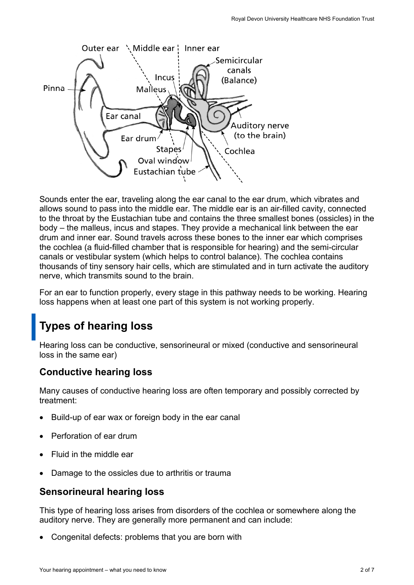

Sounds enter the ear, traveling along the ear canal to the ear drum, which vibrates and allows sound to pass into the middle ear. The middle ear is an air-filled cavity, connected to the throat by the Eustachian tube and contains the three smallest bones (ossicles) in the body – the malleus, incus and stapes. They provide a mechanical link between the ear drum and inner ear. Sound travels across these bones to the inner ear which comprises the cochlea (a fluid-filled chamber that is responsible for hearing) and the semi-circular canals or vestibular system (which helps to control balance). The cochlea contains thousands of tiny sensory hair cells, which are stimulated and in turn activate the auditory nerve, which transmits sound to the brain.

For an ear to function properly, every stage in this pathway needs to be working. Hearing loss happens when at least one part of this system is not working properly.

# **Types of hearing loss**

Hearing loss can be conductive, sensorineural or mixed (conductive and sensorineural loss in the same ear)

### **Conductive hearing loss**

Many causes of conductive hearing loss are often temporary and possibly corrected by treatment:

- Build-up of ear wax or foreign body in the ear canal
- Perforation of ear drum
- Fluid in the middle ear
- Damage to the ossicles due to arthritis or trauma

#### **Sensorineural hearing loss**

This type of hearing loss arises from disorders of the cochlea or somewhere along the auditory nerve. They are generally more permanent and can include:

Congenital defects: problems that you are born with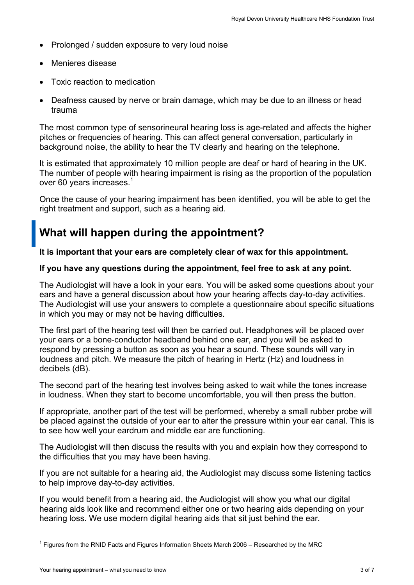- Prolonged / sudden exposure to very loud noise
- Menieres disease
- Toxic reaction to medication
- Deafness caused by nerve or brain damage, which may be due to an illness or head trauma

The most common type of sensorineural hearing loss is age-related and affects the higher pitches or frequencies of hearing. This can affect general conversation, particularly in background noise, the ability to hear the TV clearly and hearing on the telephone.

It is estimated that approximately 10 million people are deaf or hard of hearing in the UK. The number of people with hearing impairment is rising as the proportion of the population over 60 years increases.<sup>1</sup>

Once the cause of your hearing impairment has been identified, you will be able to get the right treatment and support, such as a hearing aid.

## **What will happen during the appointment?**

**It is important that your ears are completely clear of wax for this appointment.** 

#### **If you have any questions during the appointment, feel free to ask at any point.**

The Audiologist will have a look in your ears. You will be asked some questions about your ears and have a general discussion about how your hearing affects day-to-day activities. The Audiologist will use your answers to complete a questionnaire about specific situations in which you may or may not be having difficulties.

The first part of the hearing test will then be carried out. Headphones will be placed over your ears or a bone-conductor headband behind one ear, and you will be asked to respond by pressing a button as soon as you hear a sound. These sounds will vary in loudness and pitch. We measure the pitch of hearing in Hertz (Hz) and loudness in decibels (dB).

The second part of the hearing test involves being asked to wait while the tones increase in loudness. When they start to become uncomfortable, you will then press the button.

If appropriate, another part of the test will be performed, whereby a small rubber probe will be placed against the outside of your ear to alter the pressure within your ear canal. This is to see how well your eardrum and middle ear are functioning.

The Audiologist will then discuss the results with you and explain how they correspond to the difficulties that you may have been having.

If you are not suitable for a hearing aid, the Audiologist may discuss some listening tactics to help improve day-to-day activities.

If you would benefit from a hearing aid, the Audiologist will show you what our digital hearing aids look like and recommend either one or two hearing aids depending on your hearing loss. We use modern digital hearing aids that sit just behind the ear.

 $\overline{\phantom{a}}$ 

 $^{\rm 1}$  Figures from the RNID Facts and Figures Information Sheets March 2006 – Researched by the MRC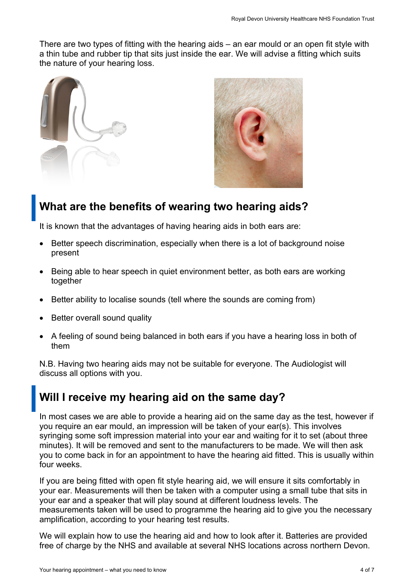There are two types of fitting with the hearing aids – an ear mould or an open fit style with a thin tube and rubber tip that sits just inside the ear. We will advise a fitting which suits the nature of your hearing loss.





## **What are the benefits of wearing two hearing aids?**

It is known that the advantages of having hearing aids in both ears are:

- Better speech discrimination, especially when there is a lot of background noise present
- Being able to hear speech in quiet environment better, as both ears are working together
- Better ability to localise sounds (tell where the sounds are coming from)
- Better overall sound quality
- A feeling of sound being balanced in both ears if you have a hearing loss in both of them

N.B. Having two hearing aids may not be suitable for everyone. The Audiologist will discuss all options with you.

## **Will I receive my hearing aid on the same day?**

In most cases we are able to provide a hearing aid on the same day as the test, however if you require an ear mould, an impression will be taken of your ear(s). This involves syringing some soft impression material into your ear and waiting for it to set (about three minutes). It will be removed and sent to the manufacturers to be made. We will then ask you to come back in for an appointment to have the hearing aid fitted. This is usually within four weeks.

If you are being fitted with open fit style hearing aid, we will ensure it sits comfortably in your ear. Measurements will then be taken with a computer using a small tube that sits in your ear and a speaker that will play sound at different loudness levels. The measurements taken will be used to programme the hearing aid to give you the necessary amplification, according to your hearing test results.

We will explain how to use the hearing aid and how to look after it. Batteries are provided free of charge by the NHS and available at several NHS locations across northern Devon.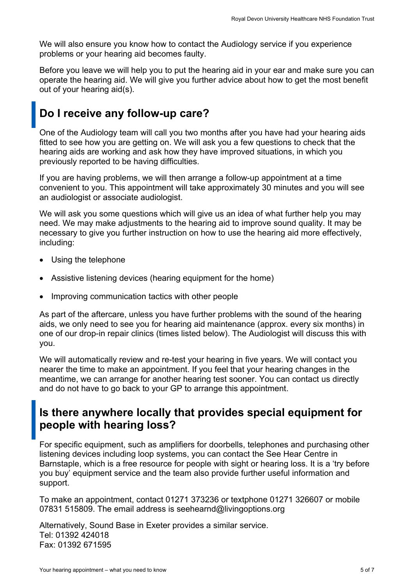We will also ensure you know how to contact the Audiology service if you experience problems or your hearing aid becomes faulty.

Before you leave we will help you to put the hearing aid in your ear and make sure you can operate the hearing aid. We will give you further advice about how to get the most benefit out of your hearing aid(s).

## **Do I receive any follow-up care?**

One of the Audiology team will call you two months after you have had your hearing aids fitted to see how you are getting on. We will ask you a few questions to check that the hearing aids are working and ask how they have improved situations, in which you previously reported to be having difficulties.

If you are having problems, we will then arrange a follow-up appointment at a time convenient to you. This appointment will take approximately 30 minutes and you will see an audiologist or associate audiologist.

We will ask you some questions which will give us an idea of what further help you may need. We may make adjustments to the hearing aid to improve sound quality. It may be necessary to give you further instruction on how to use the hearing aid more effectively, including:

- Using the telephone
- Assistive listening devices (hearing equipment for the home)
- Improving communication tactics with other people

As part of the aftercare, unless you have further problems with the sound of the hearing aids, we only need to see you for hearing aid maintenance (approx. every six months) in one of our drop-in repair clinics (times listed below). The Audiologist will discuss this with you.

We will automatically review and re-test your hearing in five years. We will contact you nearer the time to make an appointment. If you feel that your hearing changes in the meantime, we can arrange for another hearing test sooner. You can contact us directly and do not have to go back to your GP to arrange this appointment.

## **Is there anywhere locally that provides special equipment for people with hearing loss?**

For specific equipment, such as amplifiers for doorbells, telephones and purchasing other listening devices including loop systems, you can contact the See Hear Centre in Barnstaple, which is a free resource for people with sight or hearing loss. It is a 'try before you buy' equipment service and the team also provide further useful information and support.

To make an appointment, contact 01271 373236 or textphone 01271 326607 or mobile 07831 515809. The email address is seehearnd@livingoptions.org

Alternatively, Sound Base in Exeter provides a similar service. Tel: 01392 424018 Fax: 01392 671595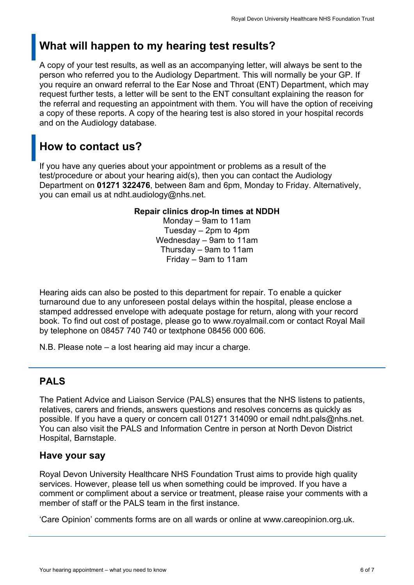# **What will happen to my hearing test results?**

A copy of your test results, as well as an accompanying letter, will always be sent to the person who referred you to the Audiology Department. This will normally be your GP. If you require an onward referral to the Ear Nose and Throat (ENT) Department, which may request further tests, a letter will be sent to the ENT consultant explaining the reason for the referral and requesting an appointment with them. You will have the option of receiving a copy of these reports. A copy of the hearing test is also stored in your hospital records and on the Audiology database.

# **How to contact us?**

If you have any queries about your appointment or problems as a result of the test/procedure or about your hearing aid(s), then you can contact the Audiology Department on **01271 322476**, between 8am and 6pm, Monday to Friday. Alternatively, you can email us at ndht.audiology@nhs.net.

#### **Repair clinics drop-In times at NDDH**

Monday – 9am to 11am Tuesday – 2pm to 4pm Wednesday – 9am to 11am Thursday – 9am to 11am Friday – 9am to 11am

Hearing aids can also be posted to this department for repair. To enable a quicker turnaround due to any unforeseen postal delays within the hospital, please enclose a stamped addressed envelope with adequate postage for return, along with your record book. To find out cost of postage, please go to www.royalmail.com or contact Royal Mail by telephone on 08457 740 740 or textphone 08456 000 606.

N.B. Please note – a lost hearing aid may incur a charge.

### **PALS**

The Patient Advice and Liaison Service (PALS) ensures that the NHS listens to patients, relatives, carers and friends, answers questions and resolves concerns as quickly as possible. If you have a query or concern call 01271 314090 or email ndht.pals@nhs.net. You can also visit the PALS and Information Centre in person at North Devon District Hospital, Barnstaple.

#### **Have your say**

Royal Devon University Healthcare NHS Foundation Trust aims to provide high quality services. However, please tell us when something could be improved. If you have a comment or compliment about a service or treatment, please raise your comments with a member of staff or the PALS team in the first instance.

'Care Opinion' comments forms are on all wards or online at www.careopinion.org.uk.